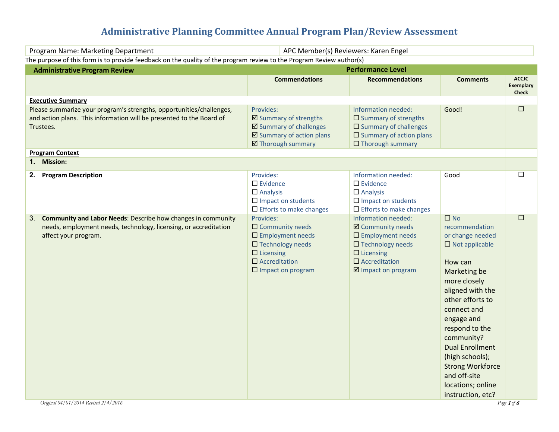# **Administrative Planning Committee Annual Program Plan/Review Assessment**

|                                                                                                                                                                               | <b>Performance Level</b>                                                                                                                                                   |                                                                                                                                                                                                                                                                                                                                                            |                                                  |
|-------------------------------------------------------------------------------------------------------------------------------------------------------------------------------|----------------------------------------------------------------------------------------------------------------------------------------------------------------------------|------------------------------------------------------------------------------------------------------------------------------------------------------------------------------------------------------------------------------------------------------------------------------------------------------------------------------------------------------------|--------------------------------------------------|
| <b>Commendations</b>                                                                                                                                                          | <b>Recommendations</b>                                                                                                                                                     | <b>Comments</b>                                                                                                                                                                                                                                                                                                                                            | <b>ACCJC</b><br><b>Exemplary</b><br><b>Check</b> |
|                                                                                                                                                                               |                                                                                                                                                                            |                                                                                                                                                                                                                                                                                                                                                            |                                                  |
| Provides:<br>☑ Summary of strengths<br>☑ Summary of challenges<br>$\boxtimes$ Summary of action plans<br>☑ Thorough summary                                                   | Information needed:<br>$\square$ Summary of strengths<br>□ Summary of challenges<br>$\square$ Summary of action plans<br>$\Box$ Thorough summary                           | Good!                                                                                                                                                                                                                                                                                                                                                      | $\Box$                                           |
|                                                                                                                                                                               |                                                                                                                                                                            |                                                                                                                                                                                                                                                                                                                                                            |                                                  |
| Provides:<br>$\Box$ Evidence<br>$\Box$ Analysis<br>$\square$ Impact on students<br>$\Box$ Efforts to make changes                                                             | Information needed:<br>$\Box$ Evidence<br>$\Box$ Analysis<br>$\square$ Impact on students<br>$\Box$ Efforts to make changes                                                | Good                                                                                                                                                                                                                                                                                                                                                       | $\Box$                                           |
| Provides:<br>$\Box$ Community needs<br>$\square$ Employment needs<br>$\square$ Technology needs<br>$\Box$ Licensing<br>$\square$ Accreditation<br>$\square$ Impact on program | Information needed:<br>☑ Community needs<br>$\square$ Employment needs<br>$\square$ Technology needs<br>$\Box$ Licensing<br>$\square$ Accreditation<br>☑ Impact on program | $\Box$ No<br>recommendation<br>or change needed<br>$\Box$ Not applicable<br>How can<br>Marketing be<br>more closely<br>aligned with the<br>other efforts to<br>connect and<br>engage and<br>respond to the<br>community?<br><b>Dual Enrollment</b><br>(high schools);<br><b>Strong Workforce</b><br>and off-site<br>locations; online<br>instruction, etc? | $\Box$                                           |
|                                                                                                                                                                               |                                                                                                                                                                            | APC Member(s) Reviewers: Karen Engel<br>The purpose of this form is to provide feedback on the quality of the program review to the Program Review author(s)                                                                                                                                                                                               | Page 1 of 6                                      |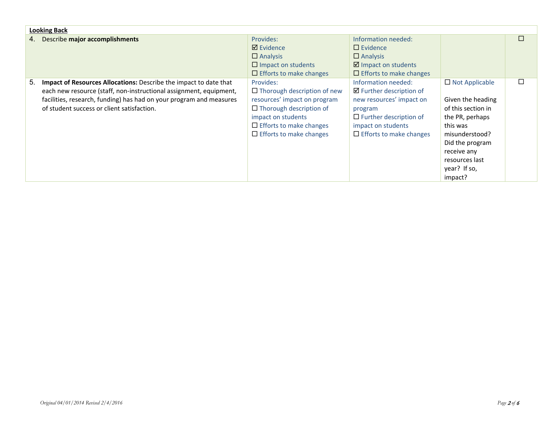|    | <b>Looking Back</b>                                                                                                                                                                                                                                          |                                                                                                                                                                                                             |                                                                                                                                                                                           |                                                                                                                                                                                                  |   |
|----|--------------------------------------------------------------------------------------------------------------------------------------------------------------------------------------------------------------------------------------------------------------|-------------------------------------------------------------------------------------------------------------------------------------------------------------------------------------------------------------|-------------------------------------------------------------------------------------------------------------------------------------------------------------------------------------------|--------------------------------------------------------------------------------------------------------------------------------------------------------------------------------------------------|---|
|    | 4. Describe major accomplishments                                                                                                                                                                                                                            | Provides:                                                                                                                                                                                                   | Information needed:                                                                                                                                                                       |                                                                                                                                                                                                  | П |
|    |                                                                                                                                                                                                                                                              | $\boxtimes$ Evidence                                                                                                                                                                                        | $\Box$ Evidence                                                                                                                                                                           |                                                                                                                                                                                                  |   |
|    |                                                                                                                                                                                                                                                              | $\Box$ Analysis                                                                                                                                                                                             | $\Box$ Analysis                                                                                                                                                                           |                                                                                                                                                                                                  |   |
|    |                                                                                                                                                                                                                                                              | $\Box$ Impact on students                                                                                                                                                                                   | $\boxtimes$ Impact on students                                                                                                                                                            |                                                                                                                                                                                                  |   |
|    |                                                                                                                                                                                                                                                              | $\Box$ Efforts to make changes                                                                                                                                                                              | $\Box$ Efforts to make changes                                                                                                                                                            |                                                                                                                                                                                                  |   |
| 5. | Impact of Resources Allocations: Describe the impact to date that<br>each new resource (staff, non-instructional assignment, equipment,<br>facilities, research, funding) has had on your program and measures<br>of student success or client satisfaction. | Provides:<br>$\Box$ Thorough description of new<br>resources' impact on program<br>$\Box$ Thorough description of<br>impact on students<br>$\Box$ Efforts to make changes<br>$\Box$ Efforts to make changes | Information needed:<br>$\boxtimes$ Further description of<br>new resources' impact on<br>program<br>$\Box$ Further description of<br>impact on students<br>$\Box$ Efforts to make changes | $\Box$ Not Applicable<br>Given the heading<br>of this section in<br>the PR, perhaps<br>this was<br>misunderstood?<br>Did the program<br>receive any<br>resources last<br>year? If so,<br>impact? | □ |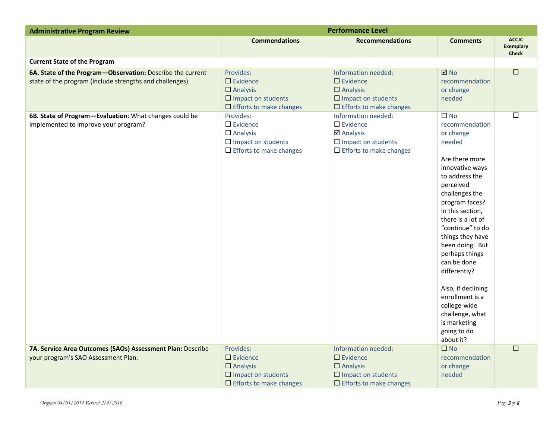| <b>Administrative Program Review</b>                                                                                  | <b>Performance Level</b>                                                                                                |                                                                                                                                   |                                                                                                                                                                                                                                                                                                                                                                                                                                            |                                                  |
|-----------------------------------------------------------------------------------------------------------------------|-------------------------------------------------------------------------------------------------------------------------|-----------------------------------------------------------------------------------------------------------------------------------|--------------------------------------------------------------------------------------------------------------------------------------------------------------------------------------------------------------------------------------------------------------------------------------------------------------------------------------------------------------------------------------------------------------------------------------------|--------------------------------------------------|
|                                                                                                                       | <b>Commendations</b>                                                                                                    | <b>Recommendations</b>                                                                                                            | <b>Comments</b>                                                                                                                                                                                                                                                                                                                                                                                                                            | <b>ACCJC</b><br><b>Exemplary</b><br><b>Check</b> |
| <b>Current State of the Program</b>                                                                                   |                                                                                                                         |                                                                                                                                   |                                                                                                                                                                                                                                                                                                                                                                                                                                            |                                                  |
| 6A. State of the Program-Observation: Describe the current<br>state of the program (include strengths and challenges) | Provides:<br>$\Box$ Evidence<br>$\Box$ Analysis<br>$\square$ Impact on students<br>$\square$ Efforts to make changes    | Information needed:<br>$\Box$ Evidence<br>$\square$ Analysis<br>$\square$ Impact on students<br>$\square$ Efforts to make changes | $\boxtimes$ No<br>recommendation<br>or change<br>needed                                                                                                                                                                                                                                                                                                                                                                                    | $\boxed{\Box}$                                   |
| 6B. State of Program-Evaluation: What changes could be<br>implemented to improve your program?                        | Provides:<br>$\square$ Evidence<br>$\Box$ Analysis<br>$\square$ Impact on students<br>$\Box$ Efforts to make changes    | Information needed:<br>$\Box$ Evidence<br><b>Ø</b> Analysis<br>$\square$ Impact on students<br>$\Box$ Efforts to make changes     | $\square$ No<br>recommendation<br>or change<br>needed<br>Are there more<br>innovative ways<br>to address the<br>perceived<br>challenges the<br>program faces?<br>In this section,<br>there is a lot of<br>"continue" to do<br>things they have<br>been doing. But<br>perhaps things<br>can be done<br>differently?<br>Also, if declining<br>enrollment is a<br>college-wide<br>challenge, what<br>is marketing<br>going to do<br>about it? | $\Box$                                           |
| 7A. Service Area Outcomes (SAOs) Assessment Plan: Describe<br>your program's SAO Assessment Plan.                     | Provides:<br>$\square$ Evidence<br>$\Box$ Analysis<br>$\square$ Impact on students<br>$\square$ Efforts to make changes | Information needed:<br>$\square$ Evidence<br>$\Box$ Analysis<br>$\square$ Impact on students<br>$\square$ Efforts to make changes | $\square$ No<br>recommendation<br>or change<br>needed                                                                                                                                                                                                                                                                                                                                                                                      | $\Box$                                           |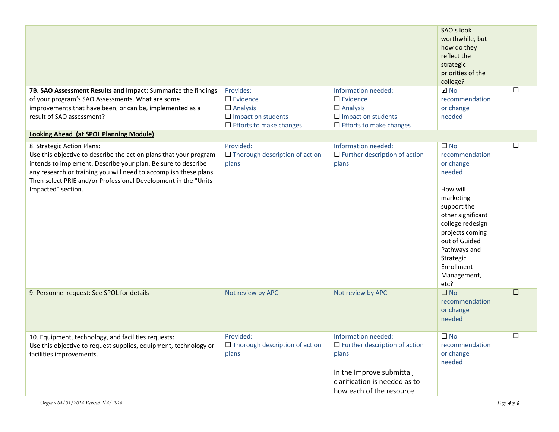| 7B. SAO Assessment Results and Impact: Summarize the findings<br>of your program's SAO Assessments. What are some<br>improvements that have been, or can be, implemented as a<br>result of SAO assessment?                                                                                                                    | Provides:<br>$\Box$ Evidence<br>$\Box$ Analysis<br>$\Box$ Impact on students<br>$\Box$ Efforts to make changes | Information needed:<br>$\square$ Evidence<br>$\Box$ Analysis<br>$\Box$ Impact on students<br>$\Box$ Efforts to make changes                                    | SAO's look<br>worthwhile, but<br>how do they<br>reflect the<br>strategic<br>priorities of the<br>college?<br><b>⊠</b> No<br>recommendation<br>or change<br>needed                                                                            | $\Box$ |
|-------------------------------------------------------------------------------------------------------------------------------------------------------------------------------------------------------------------------------------------------------------------------------------------------------------------------------|----------------------------------------------------------------------------------------------------------------|----------------------------------------------------------------------------------------------------------------------------------------------------------------|----------------------------------------------------------------------------------------------------------------------------------------------------------------------------------------------------------------------------------------------|--------|
| <b>Looking Ahead (at SPOL Planning Module)</b>                                                                                                                                                                                                                                                                                |                                                                                                                |                                                                                                                                                                |                                                                                                                                                                                                                                              |        |
| 8. Strategic Action Plans:<br>Use this objective to describe the action plans that your program<br>intends to implement. Describe your plan. Be sure to describe<br>any research or training you will need to accomplish these plans.<br>Then select PRIE and/or Professional Development in the "Units<br>Impacted" section. | Provided:<br>$\Box$ Thorough description of action<br>plans                                                    | Information needed:<br>$\Box$ Further description of action<br>plans                                                                                           | $\square$ No<br>recommendation<br>or change<br>needed<br>How will<br>marketing<br>support the<br>other significant<br>college redesign<br>projects coming<br>out of Guided<br>Pathways and<br>Strategic<br>Enrollment<br>Management,<br>etc? | $\Box$ |
| 9. Personnel request: See SPOL for details                                                                                                                                                                                                                                                                                    | Not review by APC                                                                                              | Not review by APC                                                                                                                                              | $\square$ No<br>recommendation<br>or change<br>needed                                                                                                                                                                                        | $\Box$ |
| 10. Equipment, technology, and facilities requests:<br>Use this objective to request supplies, equipment, technology or<br>facilities improvements.                                                                                                                                                                           | Provided:<br>$\Box$ Thorough description of action<br>plans                                                    | Information needed:<br>$\Box$ Further description of action<br>plans<br>In the Improve submittal,<br>clarification is needed as to<br>how each of the resource | $\square$ No<br>recommendation<br>or change<br>needed                                                                                                                                                                                        | □      |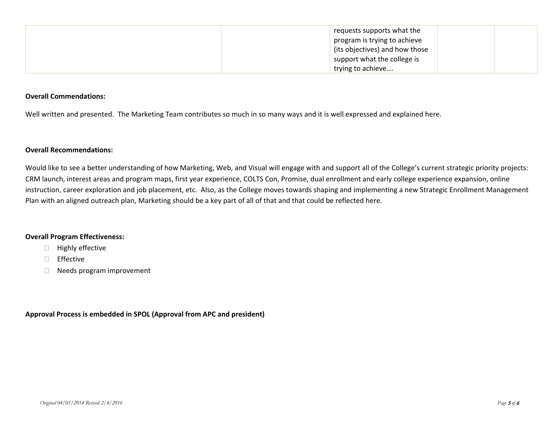| requests supports what the     |  |
|--------------------------------|--|
| program is trying to achieve   |  |
| (its objectives) and how those |  |
| support what the college is    |  |
| trying to achieve              |  |

#### **Overall Commendations:**

Well written and presented. The Marketing Team contributes so much in so many ways and it is well expressed and explained here.

#### **Overall Recommendations:**

Would like to see a better understanding of how Marketing, Web, and Visual will engage with and support all of the College's current strategic priority projects: CRM launch, interest areas and program maps, first year experience, COLTS Con, Promise, dual enrollment and early college experience expansion, online instruction, career exploration and job placement, etc. Also, as the College moves towards shaping and implementing a new Strategic Enrollment Management Plan with an aligned outreach plan, Marketing should be a key part of all of that and that could be reflected here.

### **Overall Program Effectiveness:**

#### $\Box$  Highly effective

- **Effective**
- D Needs program improvement

**Approval Process is embedded in SPOL (Approval from APC and president)**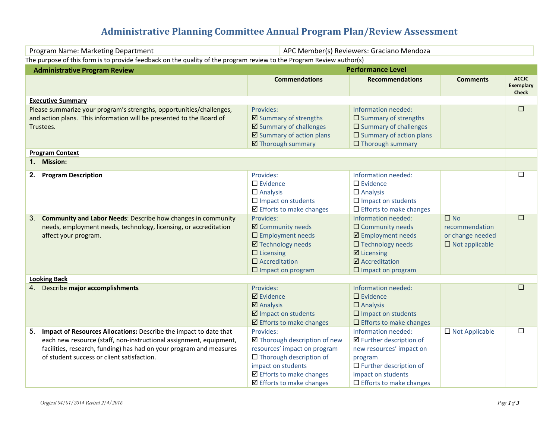# **Administrative Planning Committee Annual Program Plan/Review Assessment**

| APC Member(s) Reviewers: Graciano Mendoza<br>Program Name: Marketing Department                                                                                                                                                                                    |                                                                                                                                                                                                                  |                                                                                                                                                                                 |                                                                                |                                                  |
|--------------------------------------------------------------------------------------------------------------------------------------------------------------------------------------------------------------------------------------------------------------------|------------------------------------------------------------------------------------------------------------------------------------------------------------------------------------------------------------------|---------------------------------------------------------------------------------------------------------------------------------------------------------------------------------|--------------------------------------------------------------------------------|--------------------------------------------------|
| The purpose of this form is to provide feedback on the quality of the program review to the Program Review author(s)                                                                                                                                               |                                                                                                                                                                                                                  |                                                                                                                                                                                 |                                                                                |                                                  |
| <b>Administrative Program Review</b>                                                                                                                                                                                                                               |                                                                                                                                                                                                                  | <b>Performance Level</b>                                                                                                                                                        |                                                                                |                                                  |
|                                                                                                                                                                                                                                                                    | <b>Commendations</b>                                                                                                                                                                                             | <b>Recommendations</b>                                                                                                                                                          | <b>Comments</b>                                                                | <b>ACCJC</b><br><b>Exemplary</b><br><b>Check</b> |
| <b>Executive Summary</b>                                                                                                                                                                                                                                           |                                                                                                                                                                                                                  |                                                                                                                                                                                 |                                                                                |                                                  |
| Please summarize your program's strengths, opportunities/challenges,<br>and action plans. This information will be presented to the Board of<br>Trustees.                                                                                                          | Provides:<br>☑ Summary of strengths<br>☑ Summary of challenges<br>☑ Summary of action plans<br>☑ Thorough summary                                                                                                | Information needed:<br>$\square$ Summary of strengths<br>$\square$ Summary of challenges<br>$\square$ Summary of action plans<br>$\Box$ Thorough summary                        |                                                                                | $\Box$                                           |
| <b>Program Context</b>                                                                                                                                                                                                                                             |                                                                                                                                                                                                                  |                                                                                                                                                                                 |                                                                                |                                                  |
| 1. Mission:                                                                                                                                                                                                                                                        |                                                                                                                                                                                                                  |                                                                                                                                                                                 |                                                                                |                                                  |
| <b>Program Description</b><br>2.                                                                                                                                                                                                                                   | Provides:<br>$\square$ Evidence<br>$\Box$ Analysis<br>$\square$ Impact on students<br>☑ Efforts to make changes                                                                                                  | Information needed:<br>$\Box$ Evidence<br>$\Box$ Analysis<br>$\square$ Impact on students<br>$\square$ Efforts to make changes                                                  |                                                                                | $\Box$                                           |
| 3. Community and Labor Needs: Describe how changes in community<br>needs, employment needs, technology, licensing, or accreditation<br>affect your program.                                                                                                        | Provides:<br>☑ Community needs<br>$\square$ Employment needs<br><b>Ø</b> Technology needs<br>$\Box$ Licensing<br>$\square$ Accreditation<br>$\square$ Impact on program                                          | Information needed:<br>$\Box$ Community needs<br>☑ Employment needs<br>□ Technology needs<br>$\boxtimes$ Licensing<br>$\boxtimes$ Accreditation<br>$\square$ Impact on program  | $\square$ No<br>recommendation<br>or change needed<br>$\square$ Not applicable | $\Box$                                           |
| <b>Looking Back</b>                                                                                                                                                                                                                                                |                                                                                                                                                                                                                  |                                                                                                                                                                                 |                                                                                |                                                  |
| 4. Describe major accomplishments                                                                                                                                                                                                                                  | Provides:<br><b>Ø</b> Evidence<br>$\boxtimes$ Analysis<br>☑ Impact on students<br>$\boxtimes$ Efforts to make changes                                                                                            | Information needed:<br>$\square$ Evidence<br>$\Box$ Analysis<br>$\square$ Impact on students<br>$\Box$ Efforts to make changes                                                  |                                                                                | $\Box$                                           |
| Impact of Resources Allocations: Describe the impact to date that<br>5.<br>each new resource (staff, non-instructional assignment, equipment,<br>facilities, research, funding) has had on your program and measures<br>of student success or client satisfaction. | Provides:<br>☑ Thorough description of new<br>resources' impact on program<br>$\Box$ Thorough description of<br>impact on students<br>$\boxtimes$ Efforts to make changes<br>$\boxtimes$ Efforts to make changes | Information needed:<br>☑ Further description of<br>new resources' impact on<br>program<br>$\Box$ Further description of<br>impact on students<br>$\Box$ Efforts to make changes | $\Box$ Not Applicable                                                          | $\Box$                                           |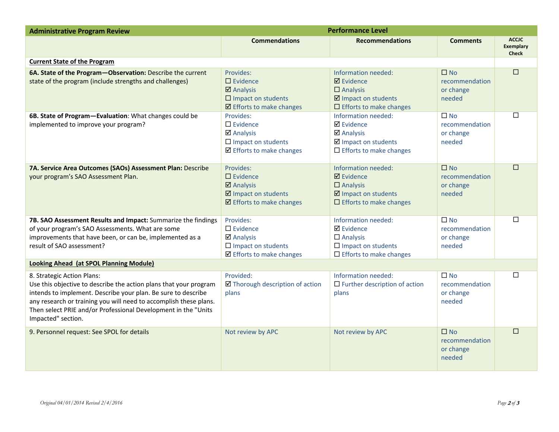| <b>Administrative Program Review</b>                                                                                                                                                                                                                                                                                          | <b>Performance Level</b>                                                                                                                |                                                                                                                               |                                                       |                                                  |
|-------------------------------------------------------------------------------------------------------------------------------------------------------------------------------------------------------------------------------------------------------------------------------------------------------------------------------|-----------------------------------------------------------------------------------------------------------------------------------------|-------------------------------------------------------------------------------------------------------------------------------|-------------------------------------------------------|--------------------------------------------------|
|                                                                                                                                                                                                                                                                                                                               | <b>Commendations</b>                                                                                                                    | <b>Recommendations</b>                                                                                                        | <b>Comments</b>                                       | <b>ACCIC</b><br><b>Exemplary</b><br><b>Check</b> |
| <b>Current State of the Program</b>                                                                                                                                                                                                                                                                                           |                                                                                                                                         |                                                                                                                               |                                                       |                                                  |
| 6A. State of the Program-Observation: Describe the current<br>state of the program (include strengths and challenges)                                                                                                                                                                                                         | Provides:<br>$\Box$ Evidence<br>$\overline{\mathbf{z}}$ Analysis<br>$\square$ Impact on students<br>$\boxtimes$ Efforts to make changes | Information needed:<br>$\boxtimes$ Evidence<br>$\Box$ Analysis<br>☑ Impact on students<br>$\Box$ Efforts to make changes      | $\square$ No<br>recommendation<br>or change<br>needed | $\Box$                                           |
| 6B. State of Program-Evaluation: What changes could be<br>implemented to improve your program?                                                                                                                                                                                                                                | Provides:<br>$\Box$ Evidence<br>$\boxtimes$ Analysis<br>$\square$ Impact on students<br>$\boxtimes$ Efforts to make changes             | Information needed:<br><b>Ø</b> Evidence<br>☑ Analysis<br>☑ Impact on students<br>$\Box$ Efforts to make changes              | $\square$ No<br>recommendation<br>or change<br>needed | $\Box$                                           |
| 7A. Service Area Outcomes (SAOs) Assessment Plan: Describe<br>your program's SAO Assessment Plan.                                                                                                                                                                                                                             | Provides:<br>$\Box$ Evidence<br>$\boxtimes$ Analysis<br>☑ Impact on students<br>$\boxtimes$ Efforts to make changes                     | Information needed:<br>$\boxtimes$ Evidence<br>$\Box$ Analysis<br>☑ Impact on students<br>$\Box$ Efforts to make changes      | $\square$ No<br>recommendation<br>or change<br>needed | П                                                |
| 7B. SAO Assessment Results and Impact: Summarize the findings<br>of your program's SAO Assessments. What are some<br>improvements that have been, or can be, implemented as a<br>result of SAO assessment?                                                                                                                    | Provides:<br>$\square$ Evidence<br>$\boxtimes$ Analysis<br>$\square$ Impact on students<br>☑ Efforts to make changes                    | Information needed:<br><b>Ø</b> Evidence<br>$\Box$ Analysis<br>$\square$ Impact on students<br>$\Box$ Efforts to make changes | $\square$ No<br>recommendation<br>or change<br>needed | □                                                |
| Looking Ahead (at SPOL Planning Module)                                                                                                                                                                                                                                                                                       |                                                                                                                                         |                                                                                                                               |                                                       |                                                  |
| 8. Strategic Action Plans:<br>Use this objective to describe the action plans that your program<br>intends to implement. Describe your plan. Be sure to describe<br>any research or training you will need to accomplish these plans.<br>Then select PRIE and/or Professional Development in the "Units<br>Impacted" section. | Provided:<br>☑ Thorough description of action<br>plans                                                                                  | Information needed:<br>$\Box$ Further description of action<br>plans                                                          | $\square$ No<br>recommendation<br>or change<br>needed | П                                                |
| 9. Personnel request: See SPOL for details                                                                                                                                                                                                                                                                                    | Not review by APC                                                                                                                       | Not review by APC                                                                                                             | $\square$ No<br>recommendation<br>or change<br>needed | П                                                |